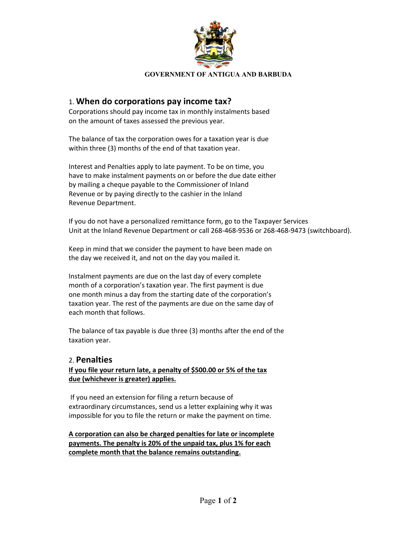

#### **GOVERNMENT OF ANTIGUA AND BARBUDA**

## 1. **When do corporations pay income tax?**

Corporations should pay income tax in monthly instalments based on the amount of taxes assessed the previous year.

The balance of tax the corporation owes for a taxation year is due within three (3) months of the end of that taxation year.

Interest and Penalties apply to late payment. To be on time, you have to make instalment payments on or before the due date either by mailing a cheque payable to the Commissioner of Inland Revenue or by paying directly to the cashier in the Inland Revenue Department.

If you do not have a personalized remittance form, go to the Taxpayer Services Unit at the Inland Revenue Department or call 268-468-9536 or 268-468-9473 (switchboard).

Keep in mind that we consider the payment to have been made on the day we received it, and not on the day you mailed it.

Instalment payments are due on the last day of every complete month of a corporation's taxation year. The first payment is due one month minus a day from the starting date of the corporation's taxation year. The rest of the payments are due on the same day of each month that follows.

The balance of tax payable is due three (3) months after the end of the taxation year.

### 2. **Penalties**

### **If you file your return late, a penalty of \$500.00 or 5% of the tax due (whichever is greater) applies.**

If you need an extension for filing a return because of extraordinary circumstances, send us a letter explaining why it was impossible for you to file the return or make the payment on time.

**A corporation can also be charged penalties for late or incomplete payments. The penalty is 20% of the unpaid tax, plus 1% for each complete month that the balance remains outstanding.**